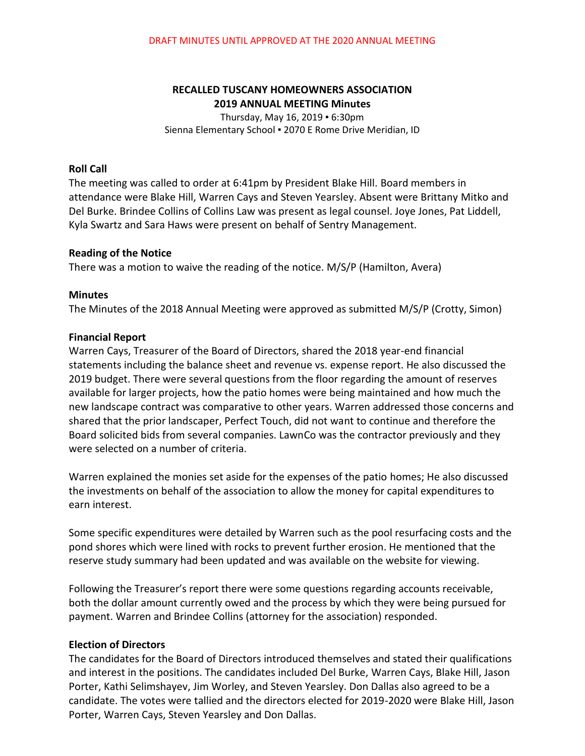# **RECALLED TUSCANY HOMEOWNERS ASSOCIATION 2019 ANNUAL MEETING Minutes**

Thursday, May 16, 2019 ▪ 6:30pm Sienna Elementary School ▪ 2070 E Rome Drive Meridian, ID

### **Roll Call**

The meeting was called to order at 6:41pm by President Blake Hill. Board members in attendance were Blake Hill, Warren Cays and Steven Yearsley. Absent were Brittany Mitko and Del Burke. Brindee Collins of Collins Law was present as legal counsel. Joye Jones, Pat Liddell, Kyla Swartz and Sara Haws were present on behalf of Sentry Management.

### **Reading of the Notice**

There was a motion to waive the reading of the notice. M/S/P (Hamilton, Avera)

## **Minutes**

The Minutes of the 2018 Annual Meeting were approved as submitted M/S/P (Crotty, Simon)

## **Financial Report**

Warren Cays, Treasurer of the Board of Directors, shared the 2018 year-end financial statements including the balance sheet and revenue vs. expense report. He also discussed the 2019 budget. There were several questions from the floor regarding the amount of reserves available for larger projects, how the patio homes were being maintained and how much the new landscape contract was comparative to other years. Warren addressed those concerns and shared that the prior landscaper, Perfect Touch, did not want to continue and therefore the Board solicited bids from several companies. LawnCo was the contractor previously and they were selected on a number of criteria.

Warren explained the monies set aside for the expenses of the patio homes; He also discussed the investments on behalf of the association to allow the money for capital expenditures to earn interest.

Some specific expenditures were detailed by Warren such as the pool resurfacing costs and the pond shores which were lined with rocks to prevent further erosion. He mentioned that the reserve study summary had been updated and was available on the website for viewing.

Following the Treasurer's report there were some questions regarding accounts receivable, both the dollar amount currently owed and the process by which they were being pursued for payment. Warren and Brindee Collins (attorney for the association) responded.

## **Election of Directors**

The candidates for the Board of Directors introduced themselves and stated their qualifications and interest in the positions. The candidates included Del Burke, Warren Cays, Blake Hill, Jason Porter, Kathi Selimshayev, Jim Worley, and Steven Yearsley. Don Dallas also agreed to be a candidate. The votes were tallied and the directors elected for 2019-2020 were Blake Hill, Jason Porter, Warren Cays, Steven Yearsley and Don Dallas.